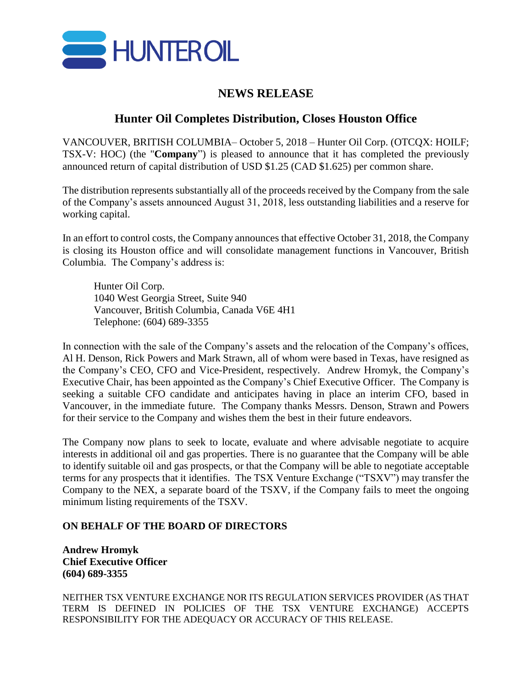

## **NEWS RELEASE**

## **Hunter Oil Completes Distribution, Closes Houston Office**

VANCOUVER, BRITISH COLUMBIA– October 5, 2018 – Hunter Oil Corp. (OTCQX: HOILF; TSX-V: HOC) (the "**Company**") is pleased to announce that it has completed the previously announced return of capital distribution of USD \$1.25 (CAD \$1.625) per common share.

The distribution represents substantially all of the proceeds received by the Company from the sale of the Company's assets announced August 31, 2018, less outstanding liabilities and a reserve for working capital.

In an effort to control costs, the Company announces that effective October 31, 2018, the Company is closing its Houston office and will consolidate management functions in Vancouver, British Columbia. The Company's address is:

Hunter Oil Corp. 1040 West Georgia Street, Suite 940 Vancouver, British Columbia, Canada V6E 4H1 Telephone: (604) 689-3355

In connection with the sale of the Company's assets and the relocation of the Company's offices, Al H. Denson, Rick Powers and Mark Strawn, all of whom were based in Texas, have resigned as the Company's CEO, CFO and Vice-President, respectively. Andrew Hromyk, the Company's Executive Chair, has been appointed as the Company's Chief Executive Officer. The Company is seeking a suitable CFO candidate and anticipates having in place an interim CFO, based in Vancouver, in the immediate future. The Company thanks Messrs. Denson, Strawn and Powers for their service to the Company and wishes them the best in their future endeavors.

The Company now plans to seek to locate, evaluate and where advisable negotiate to acquire interests in additional oil and gas properties. There is no guarantee that the Company will be able to identify suitable oil and gas prospects, or that the Company will be able to negotiate acceptable terms for any prospects that it identifies. The TSX Venture Exchange ("TSXV") may transfer the Company to the NEX, a separate board of the TSXV, if the Company fails to meet the ongoing minimum listing requirements of the TSXV.

## **ON BEHALF OF THE BOARD OF DIRECTORS**

**Andrew Hromyk Chief Executive Officer (604) 689-3355**

NEITHER TSX VENTURE EXCHANGE NOR ITS REGULATION SERVICES PROVIDER (AS THAT TERM IS DEFINED IN POLICIES OF THE TSX VENTURE EXCHANGE) ACCEPTS RESPONSIBILITY FOR THE ADEQUACY OR ACCURACY OF THIS RELEASE.